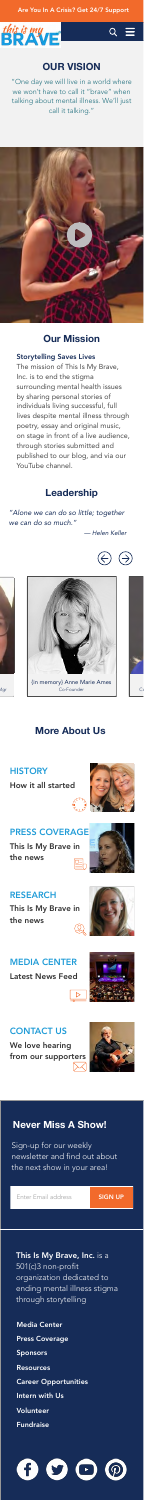#### Are You In A Crisis? Get 24/7 Support





## **OUR VISION**

"One day we will live in a world where we won't have to call it "brave" when talking about mental illness. We'll just call it talking."



#### **Our Mission**

#### Storytelling Saves Lives

The mission of This Is My Brave, Inc. is to end the stigma surrounding mental health issues by sharing personal stories of

individuals living successful, full lives despite mental illness through poetry, essay and original music, on stage in front of a live audience, through stories submitted and published to our blog, and via our YouTube channel.

#### **Leadership**

*"Alone we can do so little; together we can do so much."* 

#### This Is My Brave, Inc. is a 501(c)3 non-profit organization dedicated to ending mental illness stigma through storytelling

*— Helen Keller*









#### **More About Us**

How it all started







This Is My Brave in the news





#### PRESS COVERAGE

This Is My Brave in the news



#### RESEARCH

Latest News Feed

# MEDIA CENTER

We love hearing from our supporters



#### CONTACT US

Sign-up for our weekly newsletter and find out about the next show in your area!

Enter Email address **SIGN UP** 

### **Never Miss A Show!**

Media Center

Press Coverage

Sponsors

**Resources** 

Career Opportunities

Intern with Us

Volunteer

Fundraise

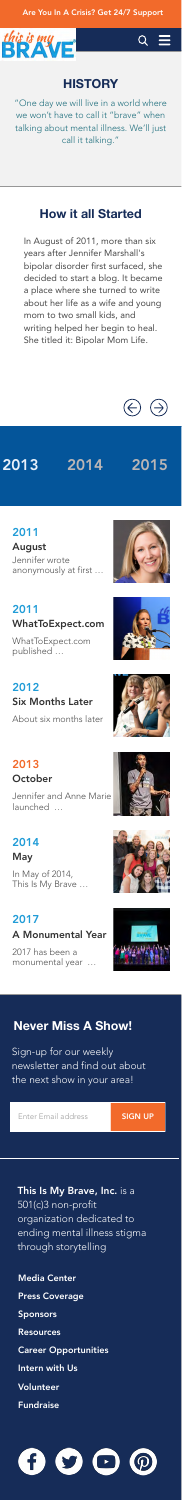#### Are You In A Crisis? Get 24/7 Support





#### **HISTORY**

"One day we will live in a world where we won't have to call it "brave" when talking about mental illness. We'll just call it talking."

#### **How it all Started**

In August of 2011, more than six years after Jennifer Marshall's bipolar disorder first surfaced, she decided to start a blog. It became a place where she turned to write about her life as a wife and young mom to two small kids, and writing helped her begin to heal. She titled it: Bipolar Mom Life.



2013 2014 2015

August

## 2011

This Is My Brave, Inc. is a 501(c)3 non-profit organization dedicated to ending mental illness stigma through storytelling

Jennifer wrote anonymously at first …

WhatToExpect.com published …

## WhatToExpect.com 2011

About six months later

Six Months Later

## 2012

Jennifer and Anne Marie launched …

#### October 2013

In May of 2014, This Is My Brave …

#### May 2014

2017 has been a monumental year …













A Monumental Year

#### 2017

Sign-up for our weekly newsletter and find out about the next show in your area!

Enter Email address **SIGN UP** 

## **Never Miss A Show!**

Media Center

#### Press Coverage

Sponsors

**Resources** 

#### Career Opportunities

#### Intern with Us

Volunteer

Fundraise